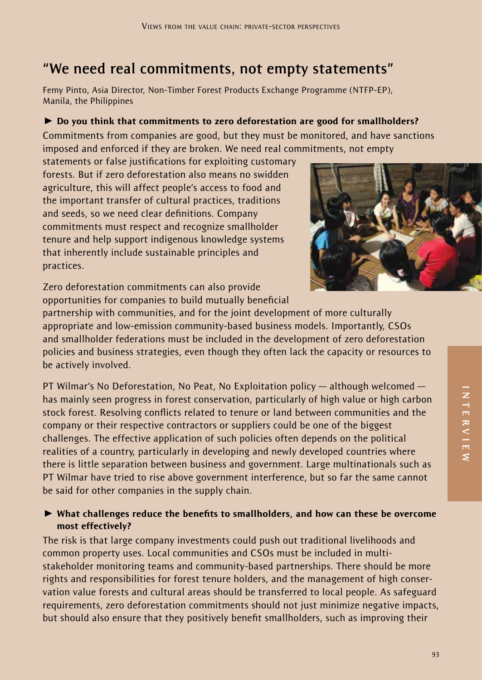# **"We need real commitments, not empty statements"**

Femy Pinto, Asia Director, Non-Timber Forest Products Exchange Programme (NTFP-EP), Manila, the Philippines

### $\triangleright$  Do you think that commitments to zero deforestation are good for smallholders?

Commitments from companies are good, but they must be monitored, and have sanctions imposed and enforced if they are broken. We need real commitments, not empty

statements or false justifications for exploiting customary forests. But if zero deforestation also means no swidden agriculture, this will affect people's access to food and the important transfer of cultural practices, traditions and seeds, so we need clear definitions. Company commitments must respect and recognize smallholder tenure and help support indigenous knowledge systems that inherently include sustainable principles and practices.



Zero deforestation commitments can also provide opportunities for companies to build mutually beneficial

partnership with communities, and for the joint development of more culturally appropriate and low-emission community-based business models. Importantly, CSOs and smallholder federations must be included in the development of zero deforestation policies and business strategies, even though they often lack the capacity or resources to be actively involved.

PT Wilmar's No Deforestation, No Peat, No Exploitation policy — although welcomed has mainly seen progress in forest conservation, particularly of high value or high carbon stock forest. Resolving conflicts related to tenure or land between communities and the company or their respective contractors or suppliers could be one of the biggest challenges. The effective application of such policies often depends on the political realities of a country, particularly in developing and newly developed countries where there is little separation between business and government. Large multinationals such as PT Wilmar have tried to rise above government interference, but so far the same cannot be said for other companies in the supply chain.

# ▶ What challenges reduce the benefits to smallholders, and how can these be overcome most effectively?

The risk is that large company investments could push out traditional livelihoods and common property uses. Local communities and CSOs must be included in multistakeholder monitoring teams and community-based partnerships. There should be more rights and responsibilities for forest tenure holders, and the management of high conservation value forests and cultural areas should be transferred to local people. As safeguard requirements, zero deforestation commitments should not just minimize negative impacts, but should also ensure that they positively benefit smallholders, such as improving their